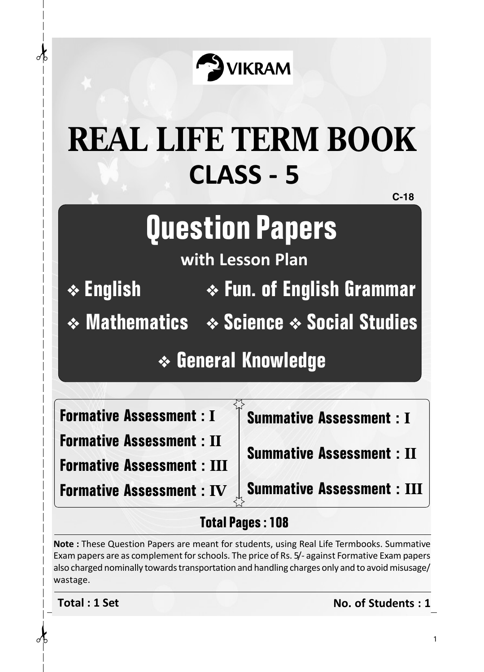

## **CLASS - 5 REAL LIFE TERM BOOK**

**C-18**

## **Question Papers**

**with Lesson Plan**

❖ **English**

✁ ✁

Æ

❖ **Fun. of English Grammar**

❖ **Science** ❖ **Social Studies** ❖ **Mathematics**

❖ **General Knowledge**

**Formative Assessment : I**

**Formative Assessment : II**

**Formative Assessment : IV**

**Formative Assessment : III**

**Summative Assessment : I**

**Summative Assessment : II**

**Summative Assessment : III**

## **Total Pages : 108**

**Note :** These Question Papers are meant for students, using Real Life Termbooks. Summative Exam papers are as complement for schools. The price of Rs. 5/- against Formative Exam papers also charged nominally towards transportation and handling charges only and to avoid misusage/ wastage.

**Total : 1 Set No. of Students : 1**

1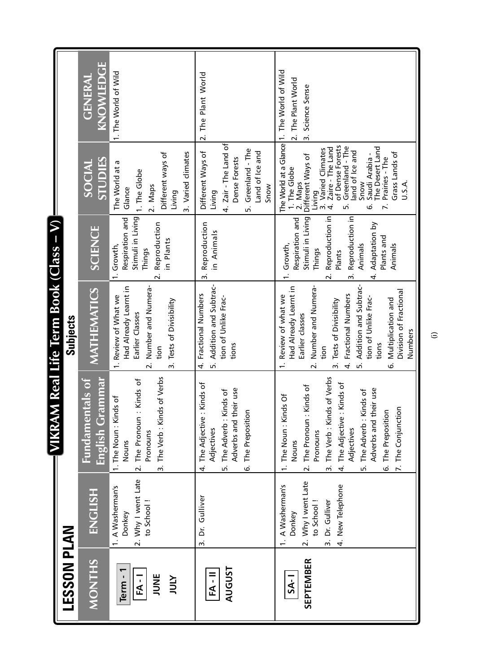|                                        |                                                                                                      | <b>MIKR</b>                                                                                                                                                                                                                                                                                                     | AM Real Life Term Book (Class – V)                                                                                                                                                                                                                                                                                        |                                                                                                                                                                                                     |                                                                                                                                                                                                                                                                                                                |                                                                       |
|----------------------------------------|------------------------------------------------------------------------------------------------------|-----------------------------------------------------------------------------------------------------------------------------------------------------------------------------------------------------------------------------------------------------------------------------------------------------------------|---------------------------------------------------------------------------------------------------------------------------------------------------------------------------------------------------------------------------------------------------------------------------------------------------------------------------|-----------------------------------------------------------------------------------------------------------------------------------------------------------------------------------------------------|----------------------------------------------------------------------------------------------------------------------------------------------------------------------------------------------------------------------------------------------------------------------------------------------------------------|-----------------------------------------------------------------------|
| LESSON PLAN                            |                                                                                                      |                                                                                                                                                                                                                                                                                                                 | Subjects                                                                                                                                                                                                                                                                                                                  |                                                                                                                                                                                                     |                                                                                                                                                                                                                                                                                                                |                                                                       |
| <b>MONTHS</b>                          | <b>ENGLISH</b>                                                                                       | English Grammar<br>Fundamentals of                                                                                                                                                                                                                                                                              | MATHEMATICS                                                                                                                                                                                                                                                                                                               | <b>SCIENCE</b>                                                                                                                                                                                      | STUDIES<br>SOCIAL                                                                                                                                                                                                                                                                                              | KNOWLEDGE<br><b>GENERAL</b>                                           |
| JUNE<br>Term-<br><b>AINT</b><br>$FA-1$ | 2. Why I went Late<br>1. A Washerman's<br>to School!<br>Donkey                                       | The Verb: Kinds of Verbs<br>The Pronoun: Kinds of<br>Kinds of<br>1. The Noun: N<br>Pronouns<br>Nouns<br>$\overline{a}$<br>$\ddot{m}$                                                                                                                                                                            | Number and Numera-<br>Had Already Learnt in<br>1. Review of What we<br>3. Tests of Divisibility<br>Earlier Classes<br>tion<br>$\overline{\mathbf{v}}$                                                                                                                                                                     | Stimuli in Living<br>Respiration and<br>Reproduction<br>in Plants<br>1. Growth,<br>Things<br>$\overline{\mathbf{v}}$                                                                                | 3. Varied climates<br>Different ways of<br>The World at a<br>1. The Globe<br>2. Maps<br>Glance<br>Living                                                                                                                                                                                                       | 1. The World of Wild                                                  |
| <b>AUGUST</b><br>$FA - II$             | Dr. Gulliver<br>$\vec{m}$                                                                            | e : Kinds of<br>Adverbs and their use<br>: Kinds of<br>$\frac{5}{10}$<br>The Adjectiv<br>The Adverb<br>The Preposit<br>Adjectives<br>Ġ<br>4<br>n.                                                                                                                                                               | 5. Addition and Subtrac-<br>Fractional Numbers<br>tion of Unlike Frac-<br>tions<br>4.                                                                                                                                                                                                                                     | Reproduction<br>in Animals<br>$\dot{m}$                                                                                                                                                             | 4. Zair - The Land of<br>Greenland - The<br>Different Ways of<br>Land of Ice and<br>Dense Forests<br>Snow<br>Living<br>ь,                                                                                                                                                                                      | 2. The Plant World                                                    |
| <b>SEPTEMBER</b><br>$S_A - I$          | 2. Why I went Late<br>1. A Washerman's<br>4. New Telephone<br>3. Dr. Gulliver<br>to School<br>Donkey | The Verb: Kinds of Verbs<br>e : Kinds of<br>The Pronoun: Kinds of<br>their use<br>The Adverb: Kinds of<br>1. The Noun: Kinds Of<br>7. The Conjunction<br>The Preposition<br>The Adjectiv<br>Adverbs and<br>Adjectives<br>Pronouns<br>Nouns<br>.<br>ف<br>$\overline{\mathbf{v}}$<br>$\vec{m}$<br><u>ທ່</u><br>4. | Addition and Subtrac-<br>Number and Numera-<br>Had Already Learnt in<br>Division of Fractional<br>Fractional Numbers<br>Review of what we<br>tion of Unlike Frac-<br>Multiplication and<br>3. Tests of Divisibility<br>Earlier classes<br>Numbers<br>tions<br>tion<br>$\div$<br>نی<br>$\overline{\mathbf{v}}$<br>4.<br>ம் | Reproduction in<br>3. Reproduction in<br>Respiration and<br>Stimuli in Living<br>Adaptation by<br>Plants and<br>Animals<br>. Growth,<br>Animals<br>Things<br>Plants<br>$\overline{\mathbf{v}}$<br>4 | of Dense Forests<br>Greenland - The<br>The Desert Land<br>Zaire - The Land<br>3. Varied Climates<br>land of Ice and<br>Grass Lands of<br>Saudi Arabia -<br>Different Ways of<br>Prairies - The<br>The World at a<br>I. The Globe<br>U.S.A.<br>Maps<br>Snow<br>Living<br>$\ddot{\sim}$<br>$\vec{r}$<br>ъ,<br>نی | Glance 1. The World of Wild<br>2. The Plant World<br>3. Science Sense |

 $\widehat{\Xi}$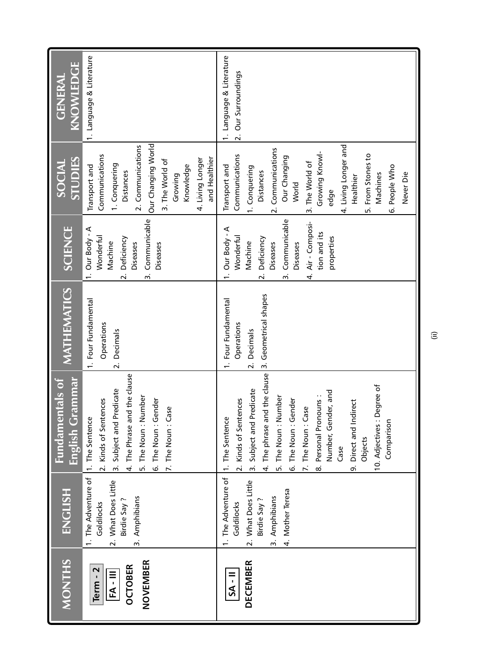| <b>MONTHS</b>                                        | <b>ENGLISH</b>                                                                                               | English Grammar<br><b>Fundamentals of</b>                                                                                                                                                                                                                                                                                         | <b>MATHEMATICS</b>                                                                                | SCIENCE                                                                                                                                                                     | <b>STUDIES</b><br>SOCIAL                                                                                                                                                                                                                                     | KNOWLEDGE<br><b>GENERAL</b>                     |
|------------------------------------------------------|--------------------------------------------------------------------------------------------------------------|-----------------------------------------------------------------------------------------------------------------------------------------------------------------------------------------------------------------------------------------------------------------------------------------------------------------------------------|---------------------------------------------------------------------------------------------------|-----------------------------------------------------------------------------------------------------------------------------------------------------------------------------|--------------------------------------------------------------------------------------------------------------------------------------------------------------------------------------------------------------------------------------------------------------|-------------------------------------------------|
| NOVEMBER<br><b>OCTOBER</b><br>Term - 2<br>$FA - III$ | 1. The Adventure of 1. The Sentence<br>2. What Does Little<br>3. Amphibians<br>Birdie Say?<br>Goldilocks     | 4. The Phrase and the clause<br>Predicate<br>Number<br>2. Kinds of Sentences<br>Gender<br>Case<br>3. Subject and<br>5. The Noun:<br>6. The Noun:<br>7. The Noun:                                                                                                                                                                  | 1. Four Fundamental<br>Operations<br>Decimals<br>$\overline{2}$ .                                 | 3. Communicable<br>1. Our Body - A<br>Wonderful<br>2. Deficiency<br>Machine<br>Diseases<br>Diseases                                                                         | Our Changing World<br>2. Communications<br>Communications<br>and Healthier<br>4. Living Longer<br>3. The World of<br>1. Conquering<br>Transport and<br>Knowledge<br>Distances<br>Growing                                                                     | 1. Language & Literature                        |
| <b>DECEMBER</b><br>$5A - H$                          | 1. The Adventure of<br>2. What Does Little<br>4. Mother Teresa<br>3. Amphibians<br>Birdie Say?<br>Goldilocks | 4. The phrase and the clause<br>10. Adjectives : Degree of<br>Predicate<br>Number, Gender, and<br>8. Personal Pronouns:<br>5. The Noun: Number<br>2. Kinds of Sentences<br>6. The Noun: Gender<br>9. Direct and Indirect<br>7. The Noun: Case<br>1. The Sentence<br>Subject and<br>Comparisor<br>Objects<br>Case<br>$\frac{1}{2}$ | 3. Geometrical shapes<br>1. Four Fundamental<br>Operations<br>Decimals<br>$\overline{\mathbf{r}}$ | 3. Communicable<br>4. Air - Composi-<br>A - Vpoq JnO<br>tion and its<br>Wonderful<br>properties<br>Deficiency<br>Machine<br>Diseases<br>Diseases<br>$\overline{\mathbf{r}}$ | 4. Living Longer and<br>2. Communications<br>Growing Knowl-<br>5. From Stones to<br>Communications<br>Our Changing<br>3. The World of<br>Transport and<br>6. People Who<br>1. Conquering<br>Distances<br>Never Die<br>Machines<br>Healthier<br>World<br>edge | 1. Language & Literature<br>2. Our Surroundings |

 $\widehat{\Xi}$